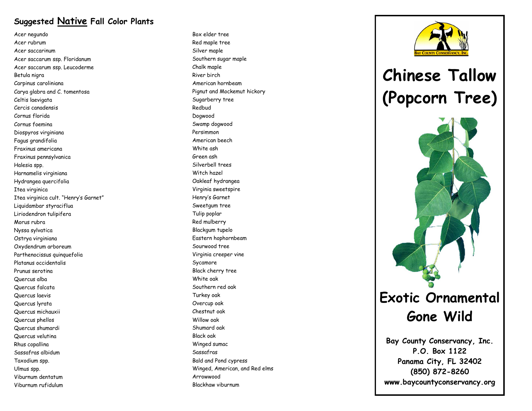## **Suggested Native Fall Color Plants**

Acer negundo Acer rubrum Acer saccarinum Acer saccarum ssp. Floridanum Acer saccarum ssp. Leucoderme Betula nigra Carpinus caroliniana Carya glabra and C. tomentosa Celtis laevigata Cercis canadensis Cornus florida Cornus foemina Diospyros virginiana Fagus grandifolia Fraxinus americana Fraxinus pennsylvanica Halesia spp. Harnamelis virginiana Hydrangea quercifolia Itea virginica Itea virginica cult. "Henry's Garnet" Liquidambar styraciflua Liriodendron tulipifera Morus rubra Nyssa sylvatica Ostrya virginiana Oxydendrum arboreum Parthenocissus quinquefolia Platanus occidentalis Prunus serotina Quercus alba Quercus falcata Quercus laevis Quercus lyrata Quercus michauxii Quercus phellos Quercus shumardi Quercus velutina Rhus copallina Sassafras albidum Taxodium spp. Ulmus spp. Viburnum dentatum Viburnum rufidulum

Box elder tree Red maple tree Silver maple Southern sugar maple Chalk maple River birch American hornbeam Pignut and Mockemut hickory Sugarberry tree Redbud Dogwood Swamp dogwood Persimmon American beech White ash Green ash Silverbell trees Witch hazel Oakleaf hydrangea Virginia sweetspire Henry's Garnet Sweetgum tree Tulip poplar Red mulberry Blackgum tupelo Eastern hophornbeam Sourwood tree Virginia creeper vine Sycamore Black cherry tree White oak Southern red oak Turkey oak Overcup oak Chestnut oak Willow oak Shumard oak Black oak Winged sumac Sassafras Bald and Pond cypress Winged, American, and Red elms Arrowwood Blackhaw viburnum



# **Chinese Tallow (Popcorn Tree)**



**Bay County Conservancy, Inc. P.O. Box 1122 Panama City, FL 32402 (850) 872 -8260 www.baycountyconservancy.org**